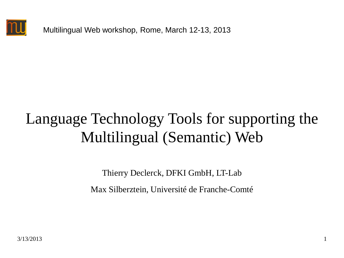

Multilingual Web workshop, Rome, March 12-13, 2013

### Language Technology Tools for supporting the Multilingual (Semantic) Web

Thierry Declerck, DFKI GmbH, LT-Lab

Max Silberztein, Université de Franche-Comté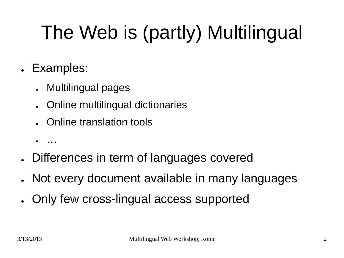# The Web is (partly) Multilingual

- Examples:
	- Multilingual pages
	- Online multilingual dictionaries
	- Online translation tools
	- …
- Differences in term of languages covered
- Not every document available in many languages
- Only few cross-lingual access supported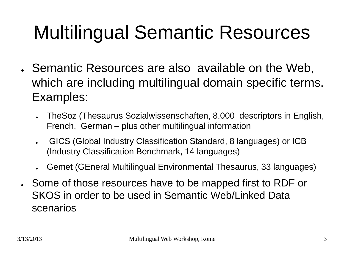## Multilingual Semantic Resources

- Semantic Resources are also available on the Web, which are including multilingual domain specific terms. Examples:
	- TheSoz (Thesaurus Sozialwissenschaften, 8.000 descriptors in English, French, German – plus other multilingual information
	- GICS (Global Industry Classification Standard, 8 languages) or ICB (Industry Classification Benchmark, 14 languages)
	- Gemet (GEneral Multilingual Environmental Thesaurus, 33 languages)
- Some of those resources have to be mapped first to RDF or SKOS in order to be used in Semantic Web/Linked Data scenarios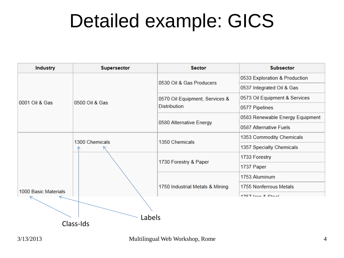### Detailed example: GICS

| <b>Industry</b>      | <b>Supersector</b> | <b>Sector</b>                                         | <b>Subsector</b>                |
|----------------------|--------------------|-------------------------------------------------------|---------------------------------|
| 0001 Oil & Gas       | 0500 Oil & Gas     | 0530 Oil & Gas Producers                              | 0533 Exploration & Production   |
|                      |                    |                                                       | 0537 Integrated Oil & Gas       |
|                      |                    | 0570 Oil Equipment, Services &<br><b>Distribution</b> | 0573 Oil Equipment & Services   |
|                      |                    |                                                       | 0577 Pipelines                  |
|                      |                    | 0580 Alternative Energy                               | 0583 Renewable Energy Equipment |
|                      |                    |                                                       | 0587 Alternative Fuels          |
|                      | 1300 Chemicals     | 1350 Chemicals                                        | 1353 Commodity Chemicals        |
|                      |                    |                                                       | 1357 Specialty Chemicals        |
|                      |                    | 1730 Forestry & Paper                                 | 1733 Forestry                   |
|                      |                    |                                                       | 1737 Paper                      |
|                      |                    | 1750 Industrial Metals & Mining                       | 1753 Aluminum                   |
|                      |                    |                                                       | 1755 Nonferrous Metals          |
| 1000 Basic Materials |                    |                                                       | 47E7 Iron 0 Ctool               |
| Labels<br>Class-Ids  |                    |                                                       |                                 |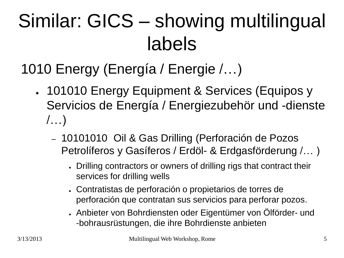## Similar: GICS – showing multilingual labels

#### 1010 Energy (Energía / Energie /…)

- 101010 Energy Equipment & Services (Equipos y Servicios de Energía / Energiezubehör und -dienste /…)
	- 10101010 Oil & Gas Drilling (Perforación de Pozos Petrolíferos y Gasíferos / Erdöl- & Erdgasförderung /… )
		- Drilling contractors or owners of drilling rigs that contract their services for drilling wells
		- . Contratistas de perforación o propietarios de torres de perforación que contratan sus servicios para perforar pozos.
		- . Anbieter von Bohrdiensten oder Eigentümer von Ölförder- und -bohrausrüstungen, die ihre Bohrdienste anbieten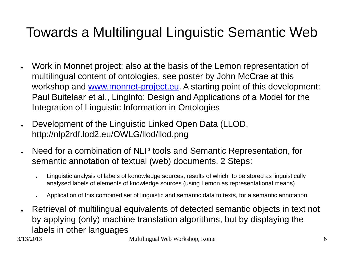#### Towards a Multilingual Linguistic Semantic Web

- Work in Monnet project; also at the basis of the Lemon representation of multilingual content of ontologies, see poster by John McCrae at this workshop and [www.monnet-project.eu.](http://www.monnet-project.eu/) A starting point of this development: Paul Buitelaar et al., LingInfo: Design and Applications of a Model for the Integration of Linguistic Information in Ontologies
- Development of the Linguistic Linked Open Data (LLOD, http://nlp2rdf.lod2.eu/OWLG/llod/llod.png
- Need for a combination of NLP tools and Semantic Representation, for semantic annotation of textual (web) documents. 2 Steps:
	- Linguistic analysis of labels of konowledge sources, results of which to be stored as linguistically analysed labels of elements of knowledge sources (using Lemon as representational means)
	- Application of this combined set of linguistic and semantic data to texts, for a semantic annotation.
- Retrieval of multilingual equivalents of detected semantic objects in text not by applying (only) machine translation algorithms, but by displaying the labels in other languages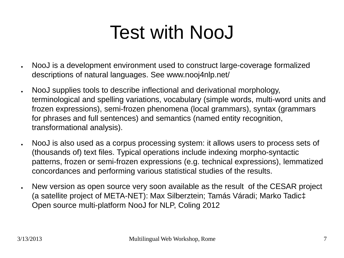## Test with NooJ

- NooJ is a development environment used to construct large-coverage formalized descriptions of natural languages. See www.nooj4nlp.net/
- NooJ supplies tools to describe inflectional and derivational morphology, terminological and spelling variations, vocabulary (simple words, multi-word units and frozen expressions), semi-frozen phenomena (local grammars), syntax (grammars for phrases and full sentences) and semantics (named entity recognition, transformational analysis).
- NooJ is also used as a corpus processing system: it allows users to process sets of (thousands of) text files. Typical operations include indexing morpho-syntactic patterns, frozen or semi-frozen expressions (e.g. technical expressions), lemmatized concordances and performing various statistical studies of the results.
- New version as open source very soon available as the result of the CESAR project (a satellite project of META-NET): Max Silberztein; Tamás Váradi; Marko Tadic‡ Open source multi-platform NooJ for NLP, Coling 2012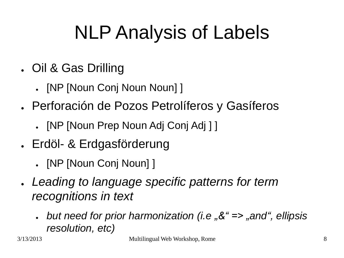## NLP Analysis of Labels

- . Oil & Gas Drilling
	- [NP [Noun Conj Noun Noun] ]
- . Perforación de Pozos Petrolíferos y Gasíferos
	- [NP [Noun Prep Noun Adj Conj Adj ] ]
- Erdöl- & Erdgasförderung
	- **[NP [Noun Conj Noun] ]**
- *Leading to language specific patterns for term recognitions in text*
	- *but need for prior harmonization (i.e "&" => "and", ellipsis resolution, etc)*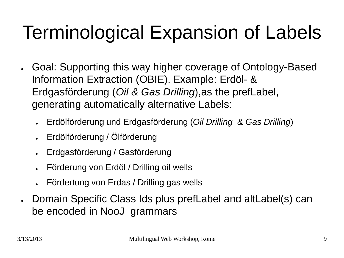## Terminological Expansion of Labels

- Goal: Supporting this way higher coverage of Ontology-Based Information Extraction (OBIE). Example: Erdöl- & Erdgasförderung (*Oil & Gas Drilling*),as the prefLabel, generating automatically alternative Labels:
	- Erdölförderung und Erdgasförderung (*Oil Drilling & Gas Drilling*)
	- Erdölförderung / Ölförderung
	- Erdgasförderung / Gasförderung
	- Förderung von Erdöl / Drilling oil wells
	- Fördertung von Erdas / Drilling gas wells
- Domain Specific Class Ids plus prefLabel and altLabel(s) can be encoded in NooJ grammars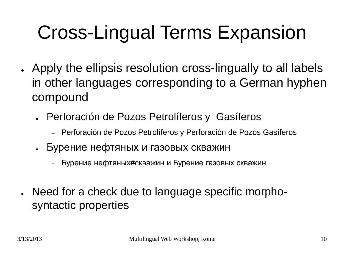## Cross-Lingual Terms Expansion

- Apply the ellipsis resolution cross-lingually to all labels in other languages corresponding to a German hyphen compound
	- Perforación de Pozos Petrolíferos y Gasíferos
		- Perforación de Pozos Petrolíferos y Perforación de Pozos Gasíferos
	- Бурение нефтяных и газовых скважин
		- Бурение нефтяных#скважин и Бурение газовых скважин
- Need for a check due to language specific morphosyntactic properties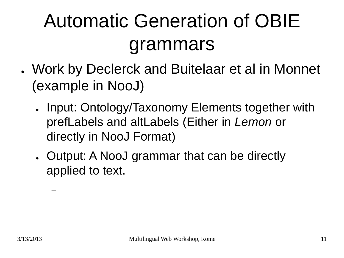## Automatic Generation of OBIE grammars

- Work by Declerck and Buitelaar et al in Monnet (example in NooJ)
	- Input: Ontology/Taxonomy Elements together with prefLabels and altLabels (Either in *Lemon* or directly in NooJ Format)
	- Output: A NooJ grammar that can be directly applied to text.

–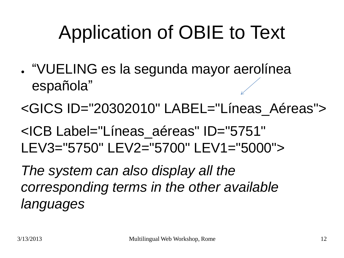## Application of OBIE to Text

- "VUELING es la segunda mayor aerolínea española"
- <GICS ID="20302010" LABEL="Líneas\_Aéreas">
- <ICB Label="Líneas\_aéreas" ID="5751" LEV3="5750" LEV2="5700" LEV1="5000">

*The system can also display all the corresponding terms in the other available languages*